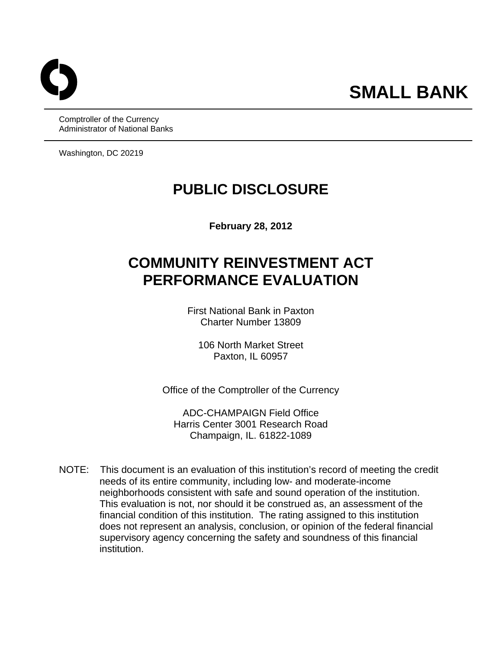Comptroller of the Currency Administrator of National Banks

Washington, DC 20219

## **PUBLIC DISCLOSURE**

**February 28, 2012** 

# **COMMUNITY REINVESTMENT ACT PERFORMANCE EVALUATION**

First National Bank in Paxton Charter Number 13809

106 North Market Street Paxton, IL 60957

Office of the Comptroller of the Currency

ADC-CHAMPAIGN Field Office Harris Center 3001 Research Road Champaign, IL. 61822-1089

NOTE: This document is an evaluation of this institution's record of meeting the credit needs of its entire community, including low- and moderate-income neighborhoods consistent with safe and sound operation of the institution. This evaluation is not, nor should it be construed as, an assessment of the financial condition of this institution. The rating assigned to this institution does not represent an analysis, conclusion, or opinion of the federal financial supervisory agency concerning the safety and soundness of this financial institution.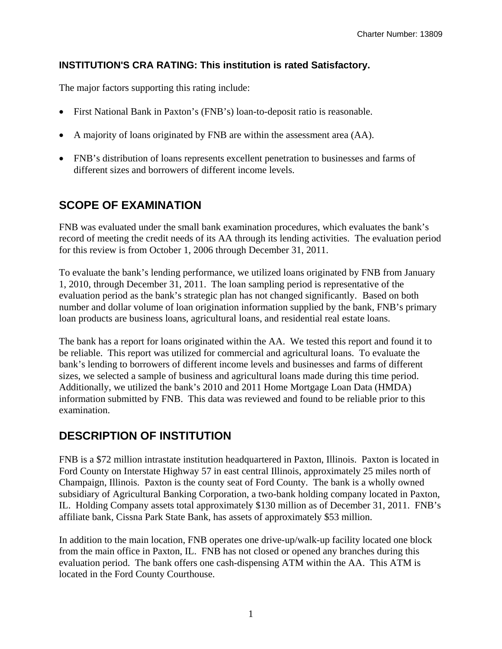#### **INSTITUTION'S CRA RATING: This institution is rated Satisfactory.**

The major factors supporting this rating include:

- First National Bank in Paxton's (FNB's) loan-to-deposit ratio is reasonable.
- A majority of loans originated by FNB are within the assessment area (AA).
- FNB's distribution of loans represents excellent penetration to businesses and farms of different sizes and borrowers of different income levels.

### **SCOPE OF EXAMINATION**

FNB was evaluated under the small bank examination procedures, which evaluates the bank's record of meeting the credit needs of its AA through its lending activities. The evaluation period for this review is from October 1, 2006 through December 31, 2011.

 evaluation period as the bank's strategic plan has not changed significantly. Based on both To evaluate the bank's lending performance, we utilized loans originated by FNB from January 1, 2010, through December 31, 2011. The loan sampling period is representative of the number and dollar volume of loan origination information supplied by the bank, FNB's primary loan products are business loans, agricultural loans, and residential real estate loans.

The bank has a report for loans originated within the AA. We tested this report and found it to be reliable. This report was utilized for commercial and agricultural loans. To evaluate the bank's lending to borrowers of different income levels and businesses and farms of different sizes, we selected a sample of business and agricultural loans made during this time period. Additionally, we utilized the bank's 2010 and 2011 Home Mortgage Loan Data (HMDA) information submitted by FNB. This data was reviewed and found to be reliable prior to this examination.

### **DESCRIPTION OF INSTITUTION**

FNB is a \$72 million intrastate institution headquartered in Paxton, Illinois. Paxton is located in Ford County on Interstate Highway 57 in east central Illinois, approximately 25 miles north of Champaign, Illinois. Paxton is the county seat of Ford County. The bank is a wholly owned subsidiary of Agricultural Banking Corporation, a two-bank holding company located in Paxton, IL. Holding Company assets total approximately \$130 million as of December 31, 2011. FNB's affiliate bank, Cissna Park State Bank, has assets of approximately \$53 million.

In addition to the main location, FNB operates one drive-up/walk-up facility located one block from the main office in Paxton, IL. FNB has not closed or opened any branches during this evaluation period. The bank offers one cash-dispensing ATM within the AA. This ATM is located in the Ford County Courthouse.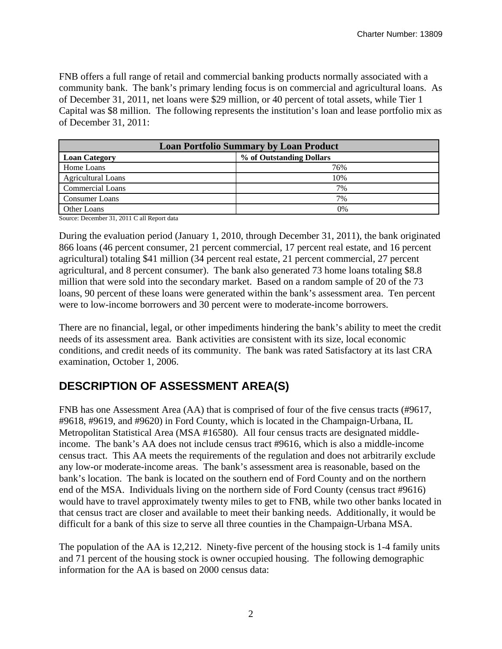FNB offers a full range of retail and commercial banking products normally associated with a community bank. The bank's primary lending focus is on commercial and agricultural loans. As of December 31, 2011, net loans were \$29 million, or 40 percent of total assets, while Tier 1 Capital was \$8 million. The following represents the institution's loan and lease portfolio mix as of December 31, 2011:

| <b>Loan Portfolio Summary by Loan Product</b> |                          |  |  |  |  |
|-----------------------------------------------|--------------------------|--|--|--|--|
| <b>Loan Category</b>                          | % of Outstanding Dollars |  |  |  |  |
| Home Loans                                    | 76%                      |  |  |  |  |
| <b>Agricultural Loans</b>                     | 10%                      |  |  |  |  |
| <b>Commercial Loans</b>                       | 7%                       |  |  |  |  |
| <b>Consumer Loans</b>                         | 7%                       |  |  |  |  |
| Other Loans                                   | 0%                       |  |  |  |  |

Source: December 31, 2011 C all Report data

During the evaluation period (January 1, 2010, through December 31, 2011), the bank originated 866 loans (46 percent consumer, 21 percent commercial, 17 percent real estate, and 16 percent agricultural) totaling \$41 million (34 percent real estate, 21 percent commercial, 27 percent agricultural, and 8 percent consumer). The bank also generated 73 home loans totaling \$8.8 million that were sold into the secondary market. Based on a random sample of 20 of the 73 loans, 90 percent of these loans were generated within the bank's assessment area. Ten percent were to low-income borrowers and 30 percent were to moderate-income borrowers.

There are no financial, legal, or other impediments hindering the bank's ability to meet the credit needs of its assessment area. Bank activities are consistent with its size, local economic conditions, and credit needs of its community. The bank was rated Satisfactory at its last CRA examination, October 1, 2006.

### **DESCRIPTION OF ASSESSMENT AREA(S)**

FNB has one Assessment Area (AA) that is comprised of four of the five census tracts (#9617, #9618, #9619, and #9620) in Ford County, which is located in the Champaign-Urbana, IL Metropolitan Statistical Area (MSA #16580). All four census tracts are designated middleincome. The bank's AA does not include census tract #9616, which is also a middle-income census tract. This AA meets the requirements of the regulation and does not arbitrarily exclude any low-or moderate-income areas. The bank's assessment area is reasonable, based on the bank's location. The bank is located on the southern end of Ford County and on the northern end of the MSA. Individuals living on the northern side of Ford County (census tract #9616) would have to travel approximately twenty miles to get to FNB, while two other banks located in that census tract are closer and available to meet their banking needs. Additionally, it would be difficult for a bank of this size to serve all three counties in the Champaign-Urbana MSA.

The population of the AA is 12,212. Ninety-five percent of the housing stock is 1-4 family units and 71 percent of the housing stock is owner occupied housing. The following demographic information for the AA is based on 2000 census data: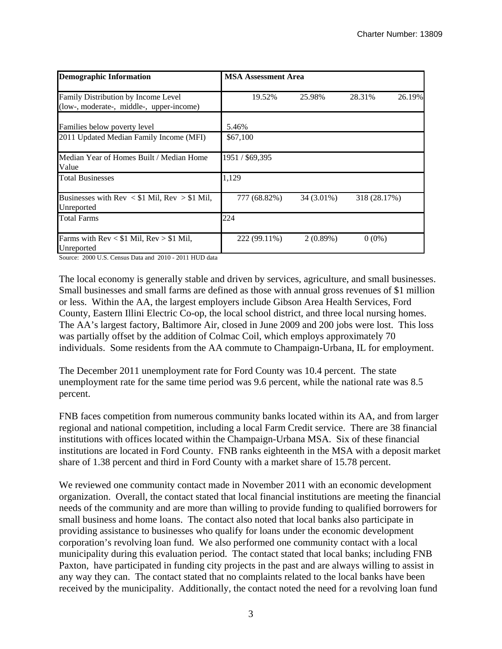| <b>Demographic Information</b>                                                  | <b>MSA Assessment Area</b> |            |              |        |  |  |  |
|---------------------------------------------------------------------------------|----------------------------|------------|--------------|--------|--|--|--|
| Family Distribution by Income Level<br>(low-, moderate-, middle-, upper-income) | 19.52%                     | 25.98%     | 28.31%       | 26.19% |  |  |  |
| Families below poverty level                                                    | 5.46%                      |            |              |        |  |  |  |
| 2011 Updated Median Family Income (MFI)                                         | \$67,100                   |            |              |        |  |  |  |
| Median Year of Homes Built / Median Home<br>Value                               | 1951 / \$69,395            |            |              |        |  |  |  |
| <b>Total Businesses</b>                                                         | 1,129                      |            |              |        |  |  |  |
| Businesses with $Rev < $1$ Mil, $Rev > $1$ Mil,<br>Unreported                   | 777 (68.82%)               | 34 (3.01%) | 318 (28.17%) |        |  |  |  |
| <b>Total Farms</b>                                                              | 224                        |            |              |        |  |  |  |
| Farms with Rev < \$1 Mil, Rev > \$1 Mil,<br>Unreported                          | 222 (99.11%)               | 2(0.89%)   | $0(0\%)$     |        |  |  |  |

Source: 2000 U.S. Census Data and 2010 - 2011 HUD data

The local economy is generally stable and driven by services, agriculture, and small businesses. Small businesses and small farms are defined as those with annual gross revenues of \$1 million or less. Within the AA, the largest employers include Gibson Area Health Services, Ford County, Eastern Illini Electric Co-op, the local school district, and three local nursing homes. The AA's largest factory, Baltimore Air, closed in June 2009 and 200 jobs were lost. This loss was partially offset by the addition of Colmac Coil, which employs approximately 70 individuals. Some residents from the AA commute to Champaign-Urbana, IL for employment.

The December 2011 unemployment rate for Ford County was 10.4 percent. The state unemployment rate for the same time period was 9.6 percent, while the national rate was 8.5 percent.

FNB faces competition from numerous community banks located within its AA, and from larger regional and national competition, including a local Farm Credit service. There are 38 financial institutions with offices located within the Champaign-Urbana MSA. Six of these financial institutions are located in Ford County. FNB ranks eighteenth in the MSA with a deposit market share of 1.38 percent and third in Ford County with a market share of 15.78 percent.

We reviewed one community contact made in November 2011 with an economic development organization. Overall, the contact stated that local financial institutions are meeting the financial needs of the community and are more than willing to provide funding to qualified borrowers for small business and home loans. The contact also noted that local banks also participate in providing assistance to businesses who qualify for loans under the economic development corporation's revolving loan fund. We also performed one community contact with a local municipality during this evaluation period. The contact stated that local banks; including FNB Paxton, have participated in funding city projects in the past and are always willing to assist in any way they can. The contact stated that no complaints related to the local banks have been received by the municipality. Additionally, the contact noted the need for a revolving loan fund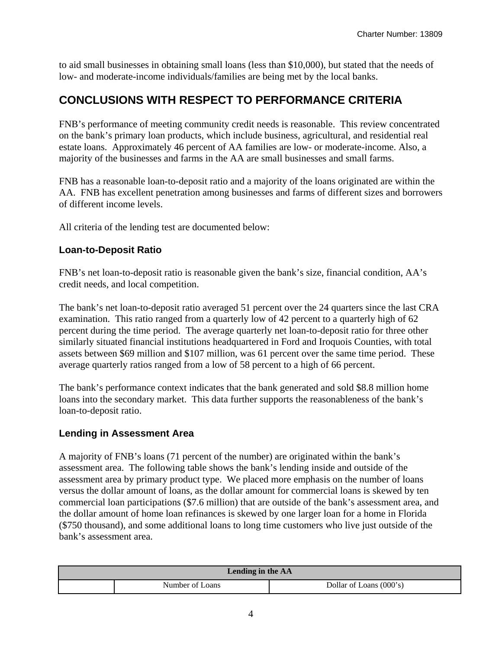to aid small businesses in obtaining small loans (less than \$10,000), but stated that the needs of low- and moderate-income individuals/families are being met by the local banks.

### **CONCLUSIONS WITH RESPECT TO PERFORMANCE CRITERIA**

FNB's performance of meeting community credit needs is reasonable. This review concentrated on the bank's primary loan products, which include business, agricultural, and residential real estate loans. Approximately 46 percent of AA families are low- or moderate-income. Also, a majority of the businesses and farms in the AA are small businesses and small farms.

FNB has a reasonable loan-to-deposit ratio and a majority of the loans originated are within the AA. FNB has excellent penetration among businesses and farms of different sizes and borrowers of different income levels.

All criteria of the lending test are documented below:

#### **Loan-to-Deposit Ratio**

FNB's net loan-to-deposit ratio is reasonable given the bank's size, financial condition, AA's credit needs, and local competition.

The bank's net loan-to-deposit ratio averaged 51 percent over the 24 quarters since the last CRA examination. This ratio ranged from a quarterly low of 42 percent to a quarterly high of 62 percent during the time period. The average quarterly net loan-to-deposit ratio for three other similarly situated financial institutions headquartered in Ford and Iroquois Counties, with total assets between \$69 million and \$107 million, was 61 percent over the same time period. These average quarterly ratios ranged from a low of 58 percent to a high of 66 percent.

The bank's performance context indicates that the bank generated and sold \$8.8 million home loans into the secondary market. This data further supports the reasonableness of the bank's loan-to-deposit ratio.

#### **Lending in Assessment Area**

A majority of FNB's loans (71 percent of the number) are originated within the bank's assessment area. The following table shows the bank's lending inside and outside of the assessment area by primary product type. We placed more emphasis on the number of loans versus the dollar amount of loans, as the dollar amount for commercial loans is skewed by ten commercial loan participations (\$7.6 million) that are outside of the bank's assessment area, and the dollar amount of home loan refinances is skewed by one larger loan for a home in Florida (\$750 thousand), and some additional loans to long time customers who live just outside of the bank's assessment area.

| Lending in the AA |                 |                           |  |  |  |
|-------------------|-----------------|---------------------------|--|--|--|
|                   | Number of Loans | Dollar of Loans $(000's)$ |  |  |  |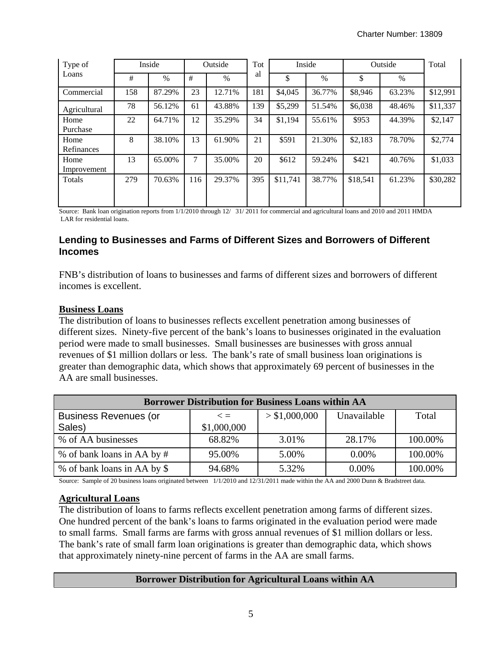| Type of      |     | Inside |     | Outside | Tot |          | Inside        |          | Outside | Total    |
|--------------|-----|--------|-----|---------|-----|----------|---------------|----------|---------|----------|
| Loans        | #   | $\%$   | #   | $\%$    | al  | \$       | $\frac{0}{0}$ | \$       | $\%$    |          |
| Commercial   | 158 | 87.29% | 23  | 12.71%  | 181 | \$4,045  | 36.77%        | \$8,946  | 63.23%  | \$12,991 |
| Agricultural | 78  | 56.12% | 61  | 43.88%  | 139 | \$5,299  | 51.54%        | \$6,038  | 48.46%  | \$11,337 |
| Home         | 22  | 64.71% | 12  | 35.29%  | 34  | \$1,194  | 55.61%        | \$953    | 44.39%  | \$2,147  |
| Purchase     |     |        |     |         |     |          |               |          |         |          |
| Home         | 8   | 38.10% | 13  | 61.90%  | 21  | \$591    | 21.30%        | \$2,183  | 78.70%  | \$2,774  |
| Refinances   |     |        |     |         |     |          |               |          |         |          |
| Home         | 13  | 65.00% | 7   | 35.00%  | 20  | \$612    | 59.24%        | \$421    | 40.76%  | \$1,033  |
| Improvement  |     |        |     |         |     |          |               |          |         |          |
| Totals       | 279 | 70.63% | 116 | 29.37%  | 395 | \$11,741 | 38.77%        | \$18,541 | 61.23%  | \$30,282 |
|              |     |        |     |         |     |          |               |          |         |          |

Source: Bank loan origination reports from 1/1/2010 through 12/ 31/ 2011 for commercial and agricultural loans and 2010 and 2011 HMDA LAR for residential loans.

#### **Lending to Businesses and Farms of Different Sizes and Borrowers of Different Incomes**

FNB's distribution of loans to businesses and farms of different sizes and borrowers of different incomes is excellent.

#### **Business Loans**

The distribution of loans to businesses reflects excellent penetration among businesses of different sizes. Ninety-five percent of the bank's loans to businesses originated in the evaluation period were made to small businesses. Small businesses are businesses with gross annual revenues of \$1 million dollars or less. The bank's rate of small business loan originations is greater than demographic data, which shows that approximately 69 percent of businesses in the AA are small businesses.

| <b>Borrower Distribution for Business Loans within AA</b> |             |               |             |         |  |  |  |  |  |
|-----------------------------------------------------------|-------------|---------------|-------------|---------|--|--|--|--|--|
| <b>Business Revenues (or</b>                              | $\leq$ $=$  | > \$1,000,000 | Unavailable | Total   |  |  |  |  |  |
| Sales)                                                    | \$1,000,000 |               |             |         |  |  |  |  |  |
| % of AA businesses                                        | 68.82%      | 3.01%         | 28.17%      | 100.00% |  |  |  |  |  |
| % of bank loans in AA by #                                | 95.00%      | 5.00%         | $0.00\%$    | 100.00% |  |  |  |  |  |
| % of bank loans in AA by \$                               | 94.68%      | 5.32%         | $0.00\%$    | 100.00% |  |  |  |  |  |

Source: Sample of 20 business loans originated between 1/1/2010 and 12/31/2011 made within the AA and 2000 Dunn & Bradstreet data.

#### **Agricultural Loans**

The distribution of loans to farms reflects excellent penetration among farms of different sizes. One hundred percent of the bank's loans to farms originated in the evaluation period were made to small farms. Small farms are farms with gross annual revenues of \$1 million dollars or less. The bank's rate of small farm loan originations is greater than demographic data, which shows that approximately ninety-nine percent of farms in the AA are small farms.

#### **Borrower Distribution for Agricultural Loans within AA**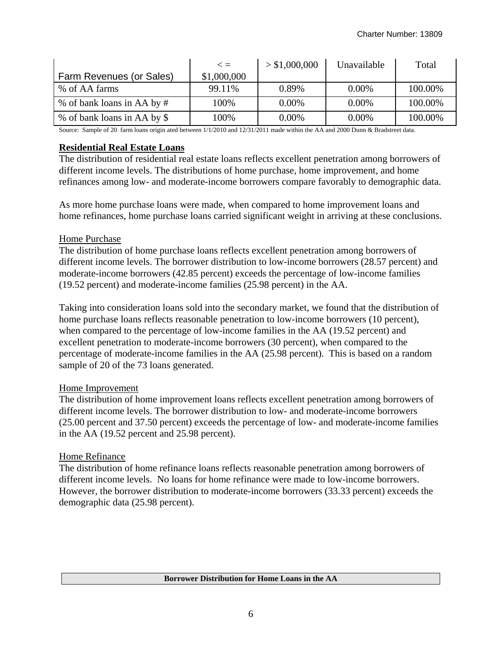|                             | $\lt$ =     | > \$1,000,000 | Unavailable | Total   |
|-----------------------------|-------------|---------------|-------------|---------|
| Farm Revenues (or Sales)    | \$1,000,000 |               |             |         |
| % of AA farms               | 99.11%      | 0.89%         | $0.00\%$    | 100.00% |
| % of bank loans in AA by #  | 100%        | $0.00\%$      | $0.00\%$    | 100.00% |
| % of bank loans in AA by \$ | 100%        | $0.00\%$      | $0.00\%$    | 100.00% |

Source: Sample of 20 farm loans origin ated between 1/1/2010 and 12/31/2011 made within the AA and 2000 Dunn & Bradstreet data.

#### **Residential Real Estate Loans**

The distribution of residential real estate loans reflects excellent penetration among borrowers of different income levels. The distributions of home purchase, home improvement, and home refinances among low- and moderate-income borrowers compare favorably to demographic data.

As more home purchase loans were made, when compared to home improvement loans and home refinances, home purchase loans carried significant weight in arriving at these conclusions.

#### Home Purchase

The distribution of home purchase loans reflects excellent penetration among borrowers of different income levels. The borrower distribution to low-income borrowers (28.57 percent) and moderate-income borrowers (42.85 percent) exceeds the percentage of low-income families (19.52 percent) and moderate-income families (25.98 percent) in the AA.

Taking into consideration loans sold into the secondary market, we found that the distribution of home purchase loans reflects reasonable penetration to low-income borrowers (10 percent), when compared to the percentage of low-income families in the AA (19.52 percent) and excellent penetration to moderate-income borrowers (30 percent), when compared to the percentage of moderate-income families in the AA (25.98 percent). This is based on a random sample of 20 of the 73 loans generated.

#### Home Improvement

The distribution of home improvement loans reflects excellent penetration among borrowers of different income levels. The borrower distribution to low- and moderate-income borrowers (25.00 percent and 37.50 percent) exceeds the percentage of low- and moderate-income families in the AA (19.52 percent and 25.98 percent).

#### Home Refinance

The distribution of home refinance loans reflects reasonable penetration among borrowers of different income levels. No loans for home refinance were made to low-income borrowers. However, the borrower distribution to moderate-income borrowers (33.33 percent) exceeds the demographic data (25.98 percent).